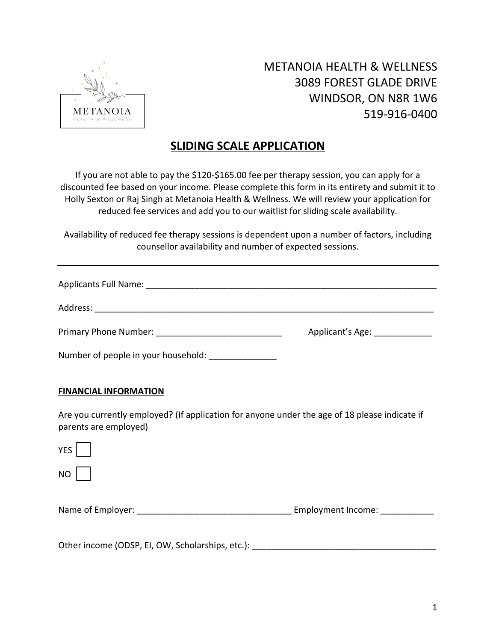

## METANOIA HEALTH & WELLNESS 3089 FOREST GLADE DRIVE WINDSOR, ON N8R 1W6 519-916-0400

## **SLIDING SCALE APPLICATION**

If you are not able to pay the \$120-\$165.00 fee per therapy session, you can apply for a discounted fee based on your income. Please complete this form in its entirety and submit it to Holly Sexton or Raj Singh at Metanoia Health & Wellness. We will review your application for reduced fee services and add you to our waitlist for sliding scale availability.

Availability of reduced fee therapy sessions is dependent upon a number of factors, including counsellor availability and number of expected sessions.

|                                                                                                                        | Applicant's Age: _____________ |
|------------------------------------------------------------------------------------------------------------------------|--------------------------------|
| Number of people in your household: _______________                                                                    |                                |
| <b>FINANCIAL INFORMATION</b>                                                                                           |                                |
| Are you currently employed? (If application for anyone under the age of 18 please indicate if<br>parents are employed) |                                |
| <b>YES</b>                                                                                                             |                                |

NO

Name of Employer: \_\_\_\_\_\_\_\_\_\_\_\_\_\_\_\_\_\_\_\_\_\_\_\_\_\_\_\_\_\_\_\_ Employment Income: \_\_\_\_\_\_\_\_\_\_\_

Other income (ODSP, EI, OW, Scholarships, etc.):